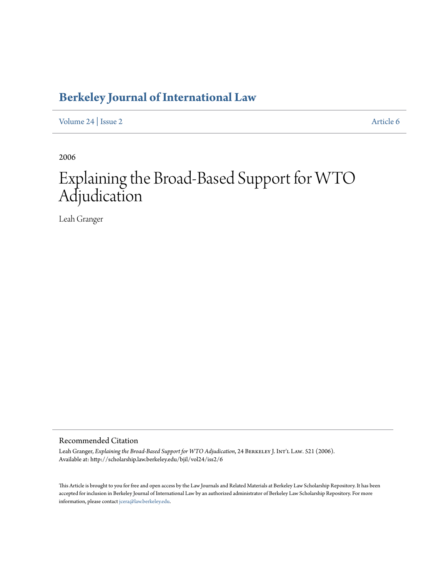## **[Berkeley Journal of International Law](http://scholarship.law.berkeley.edu/bjil)**

[Volume 24](http://scholarship.law.berkeley.edu/bjil/vol24) | [Issue 2](http://scholarship.law.berkeley.edu/bjil/vol24/iss2) [Article 6](http://scholarship.law.berkeley.edu/bjil/vol24/iss2/6)

2006

# Explaining the Broad-Based Support for WTO Adjudication

Leah Granger

Recommended Citation

Leah Granger, *Explaining the Broad-Based Support for WTO Adjudication*, 24 BERKELEY J. INT'L LAW. 521 (2006). Available at: http://scholarship.law.berkeley.edu/bjil/vol24/iss2/6

This Article is brought to you for free and open access by the Law Journals and Related Materials at Berkeley Law Scholarship Repository. It has been accepted for inclusion in Berkeley Journal of International Law by an authorized administrator of Berkeley Law Scholarship Repository. For more information, please contact [jcera@law.berkeley.edu.](mailto:jcera@law.berkeley.edu)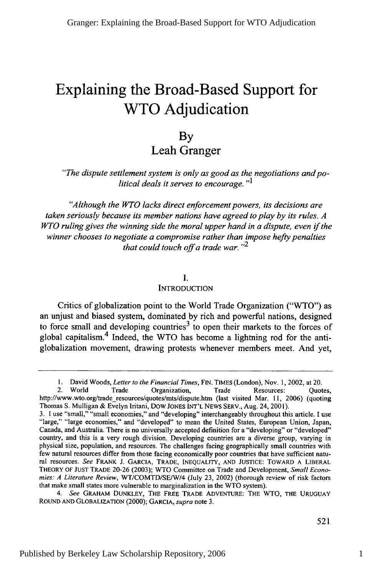## **Explaining the Broad-Based Support for WTO Adjudication**

### **By** Leah Granger

*"The dispute settlement system is only as good as the negotiations and political deals it serves to encourage. "1*

*"Although the WTO lacks direct enforcement powers, its decisions are taken seriously because its member nations have agreed to play by its rules. A WTO ruling gives the winning side the moral upper hand in a dispute, even if the winner chooses to negotiate a compromise rather than impose hefty penalties that could touch off a trade war.*  $v^2$ 

#### *I.*

#### **INTRODUCTION**

Critics of globalization point to the World Trade Organization ("WTO") as an unjust and biased system, dominated by rich and powerful nations, designed to force small and developing countries<sup>3</sup> to open their markets to the forces of global capitalism.<sup>4</sup> Indeed, the WTO has become a lightning rod for the antiglobalization movement, drawing protests whenever members meet. And yet,

1. David Woods, *Letter to the Financial Times,* FIN. TIMES (London), Nov. 1, 2002, at 20.

<sup>2.</sup> World Trade Organization, Trade Resources: Quotes, http://www.wto.org/trade\_resources/quotes/mts/dispute.htm (last visited Mar. 11, 2006) (quoting Thomas S. Mulligan & Evelyn Iritani, Dow JONES INT'L NEWS SERV., Aug. 24, 200 **1).**

<sup>&</sup>lt;sup>21111</sup> "small," "small economies," and "developing" interchangeably throughout this article. I use "large," "large economies," and "developed" to mean the United States, European Union, Japan, Canada, and Australia. There is no universally accepted definition for a "developing" or "developed" country, and this is a very rough division. Developing countries are a diverse group, varying in physical size, population, and resources. The challenges facing geographically small countries with few natural resources differ from those facing economically poor countries that have sufficient natural resources. *See* FRANK J. GARCIA, TRADE, INEQUALITY, AND JUSTICE: TOWARD A LIBERAL THEORY OF JUST TRADE 20-26 (2003); WTO Committee on Trade and Development, *Small Economies: A Literature Review,* WT/COMTD/SE/W/4 (July 23, 2002) (thorough review of risk factors that make small states more vulnerable to marginalization in the WTO system).

*<sup>4.</sup> See* GRAHAM DUNKLEY, THE FREE TRADE ADVENTURE: THE WTO, TIHE **URUGUAY** ROUND AND GLOBALIZATION (2000); GARCIA, *supra* note 3.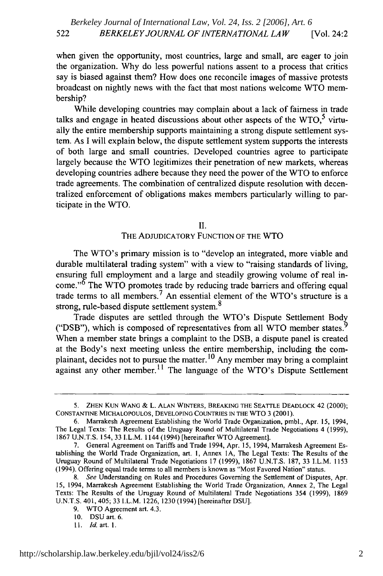when given the opportunity, most countries, large and small, are eager to join the organization. Why do less powerful nations assent to a process that critics say is biased against them? How does one reconcile images of massive protests broadcast on nightly news with the fact that most nations welcome WTO membership?

While developing countries may complain about a lack of fairness in trade talks and engage in heated discussions about other aspects of the  $WTO<sub>1</sub><sup>5</sup>$  virtually the entire membership supports maintaining a strong dispute settlement system. As I will explain below, the dispute settlement system supports the interests of both large and small countries. Developed countries agree to participate largely because the WTO legitimizes their penetration of new markets, whereas developing countries adhere because they need the power of the WTO to enforce trade agreements. The combination of centralized dispute resolution with decentralized enforcement of obligations makes members particularly willing to participate in the WTO.

II.

#### THE ADJUDICATORY FUNCTION OF THE WTO

The WTO's primary mission is to "develop an integrated, more viable and durable multilateral trading system" with a view to "raising standards of living, ensuring full employment and a large and steadily growing volume of real in- $\text{come.}^{56}$  The WTO promotes trade by reducing trade barriers and offering equal trade terms to all members.<sup>7</sup> An essential element of the WTO's structure is a strong, rule-based dispute settlement system.<sup>8</sup>

Trade disputes are settled through the WTO's Dispute Settlement Body ("DSB"), which is composed of representatives from all WTO member states.<sup>9</sup> When a member state brings a complaint to the DSB, a dispute panel is created at the Body's next meeting unless the entire membership, including the complainant, decides not to pursue the matter.<sup>10</sup> Any member may bring a complaint against any other member.<sup>11</sup> The language of the WTO's Dispute Settlement

<sup>5.</sup> ZHEN KUN WANG & L. ALAN WINTERS, BREAKING THE SEATTLE DEADLOCK 42 (2000); CONSTANTINE MICHALOPOULOS, DEVELOPING COUNTRIES **IN** THE WTO 3 (2001).

<sup>6.</sup> Marrakesh Agreement Establishing the World Trade Organization, pmbl., Apr. 15, 1994, The Legal Texts: The Results of the Uruguay Round of Multilateral Trade Negotiations 4 (1999), 1867 **U.N.T.S.** 154, 33 I.L.M. 1144 (1994) [hereinafter WTO Agreement].

<sup>7.</sup> General Agreement on Tariffs and Trade 1994, Apr. 15, 1994, Marrakesh Agreement Establishing the World Trade Organization, art. **1,** Annex 1 A, The Legal Texts: The Results of the Uruguay Round of Multilateral Trade Negotiations 17 (1999), 1867 U.N.T.S. 187, 33 I.L.M. 1153 (1994). Offering equal trade terms to all members is known as "Most Favored Nation" status.

*<sup>8.</sup> See* Understanding on Rules and Procedures Governing the Settlement of Disputes, Apr. 15, 1994, Marrakesh Agreement Establishing the World Trade Organization, Annex 2, The Legal Texts: The Results of the Uruguay Round of Multilateral Trade Negotiations 354 (1999), 1869 **U.N.T.S.** 401,405; 33 I.L.M. 1226, 1230 (1994) [hereinafter DSU].

<sup>9.</sup> WTO Agreement art. 4.3.

<sup>10.</sup> DSU art. 6.

<sup>11.</sup> *Id. art. 1.*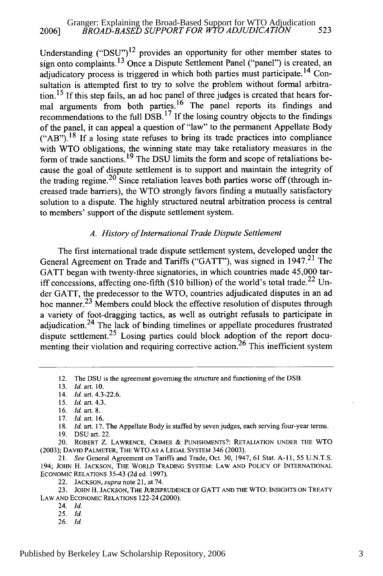Understanding ("DSU")<sup>12</sup> provides an opportunity for other member states to sign onto complaints.<sup>13</sup> Once a Dispute Settlement Panel ("panel") is created, an adjudicatory process is triggered in which both parties must participate.<sup>14</sup> Consultation is attempted first to try to solve the problem without formal arbitration.<sup>15</sup> If this step fails, an ad hoc panel of three judges is created that hears formal arguments from both parties.<sup>16</sup> The panel reports its findings and recommendations to the full  $DSB$ .<sup>17</sup> If the losing country objects to the findings of the panel, it can appeal a question of "law" to the permanent Appellate Body  $("AB")$ <sup>18</sup> If a losing state refuses to bring its trade practices into compliance with WTO obligations, the winning state may take retaliatory measures in the form of trade sanctions. 19 The DSU limits the form and scope of retaliations because the goal of dispute settlement is to support and maintain the integrity of the trading regime.<sup>20</sup> Since retaliation leaves both parties worse off (through increased trade barriers), the WTO strongly favors finding a mutually satisfactory solution to a dispute. The highly structured neutral arbitration process is central to members' support of the dispute settlement system.

#### *A. History of International Trade Dispute Settlement*

The first international trade dispute settlement system, developed under the General Agreement on Trade and Tariffs ("GATT"), was signed in 1947.<sup>21</sup> The GATT began with twenty-three signatories, in which countries made 45,000 tariff concessions, affecting one-fifth (\$10 billion) of the world's total trade.<sup>22</sup> Under GATT, the predecessor to the WTO, countries adjudicated disputes in an ad hoc manner.<sup>23</sup> Members could block the effective resolution of disputes through a variety of foot-dragging tactics, as well as outright refusals to participate in adjudication.<sup>24</sup> The lack of binding timelines or appellate procedures frustrated dispute settlement.<sup>25</sup> Losing parties could block adoption of the report documenting their violation and requiring corrective action.<sup>26</sup> This inefficient system

14. *Id.* art. 4.3-22.6.

17. *Id.* art. 16.

19. DSU art. 22.

20. ROBERT Z. LAWRENCE, CRIMES & PUNISHMENTS?: RETALIATION UNDER THE WTO (2003); DAVID PALMETER, THE WTO AS A LEGAL SYSTEM 346 (2003).

21. *See* General Agreement on Tariffs and Trade, Oct. 30, 1947, 61 Stat. **A-11,** 55 U.N.T.S. 194; JOHN H. JACKSON, THE WORLD TRADING SYSTEM: LAW AND POLICY OF INTERNATIONAL ECONOMIC RELATIONS 35-43 (2d ed. 1997).

23. JOHN H. JACKSON, THE JURISPRUDENCE OF GATT AND THE WTO: INSIGHTS ON TREATY LAW **AND** ECONOMIC RELATIONS 122-24 (2000).

- 24. *Id.*
- 25. *Id.*
- 26. Id.

<sup>12.</sup> The DSU is the agreement governing the structure and functioning of the DSB.

**<sup>13.</sup>** *Id.* art. 10.

<sup>15.</sup> *Id.* art. 4.3.

**<sup>16.</sup>** *Id.* art. 8.

<sup>18.</sup> *Id.* art. 17. The Appellate Body is staffed by seven judges, each serving four-year terms.

<sup>22.</sup> JACKSON, *supra* note 21, at 74.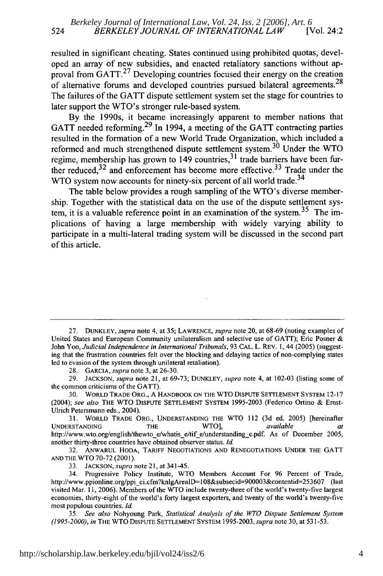resulted in significant cheating. States continued using prohibited quotas, developed an array of new subsidies, and enacted retaliatory sanctions without approval from  $GATT<sup>27</sup>$  Developing countries focused their energy on the creation of alternative forums and developed countries pursued bilateral agreements.<sup>28</sup> The failures of the GATT dispute settlement system set the stage for countries to later support the WTO's stronger rule-based system.

By the 1990s, it became increasingly apparent to member nations that GATT needed reforming. 29 In 1994, a meeting of the GATT contracting parties resulted in the formation of a new World Trade Organization, which included a reformed and much strengthened dispute settlement system.<sup>30</sup> Under the WTO regime, membership has grown to 149 countries,  $3<sup>1</sup>$  trade barriers have been further reduced, $32$  and enforcement has become more effective. $33$  Trade under the WTO system now accounts for ninety-six percent of all world trade.<sup>34</sup>

The table below provides a rough sampling of the WTO's diverse membership. Together with the statistical data on the use of the dispute settlement system, it is a valuable reference point in an examination of the system.<sup>35</sup> The implications of having a large membership with widely varying ability to participate in a multi-lateral trading system will be discussed in the second part of this article.

28. **GARCIA,** *supra* note 3, at 26-30.

29. **JACKSON,** *supra* note 21, at 69-73; **DUNKLEY,** *supra* note 4, at 102-03 (listing some of the common criticisms of the GATT).

30. WORLD TRADE ORG., A HANDBOOK ON THE WTO DISPUTE SETTLEMENT SYSTEM 12-17 (2004); *see* also THE WTO DISPUTE SETTLEMENT SYSTEM 1995-2003 (Federico Ortino & Ernst-Ulrich Petersmann eds., 2004).

31. WORLD TRADE ORG., UNDERSTANDING THE WTO 112 (3d ed. 2005) [hereinafter UNDERSTANDING **THE WTO**, available at http://www.wto.org/english/thewto\_e/whatis\_e/tif\_e/understanding\_e.pdf. As of December 2005, another thirty-three countries have obtained observer status. *Id.*

32. ANWARUL HODA, TARIFF NEGOTIATIONS AND RENEGOTIATIONS UNDER THE GATT **AND** THE WTO 70-72 (2001).

33. **JACKSON,** *supra* note 21, at 341-45.

35. *See also* Nohyoung Park, Statistical Analysis of the WTO Dispute Settlement System (1995-2000), *in* THE WTO DISPUTE SETTLEMENT SYSTEM 1995-2003, supra note 30, at 531-53.

<sup>27.</sup> DUNKLEY, *supra* note 4, at 35; LAWRENCE, *supra* note 20, at 68-69 (noting examples of United States and European Community unilateralism and selective use of GATT); Eric Posner & John Yoo, *Judicial Independence in International Tribunals,* 93 CAL. L. REV. **1,** 44 (2005) (suggesting that the frustration countries felt over the blocking and delaying tactics of non-complying states led to evasion of the system through unilateral retaliation).

<sup>34.</sup> Progressive Policy Institute, WTO Members Account For 96 Percent of Trade, http://www.ppionline.org/ppi\_ci.cfm?knlgArealD=108&subsecid=900003&contentid=253607 (last visited Mar. **11,** 2006). Members of the WTO include twenty-three of the world's twenty-five largest economies, thirty-eight of the world's forty largest exporters, and twenty of the world's twenty-five most populous countries. *Id.*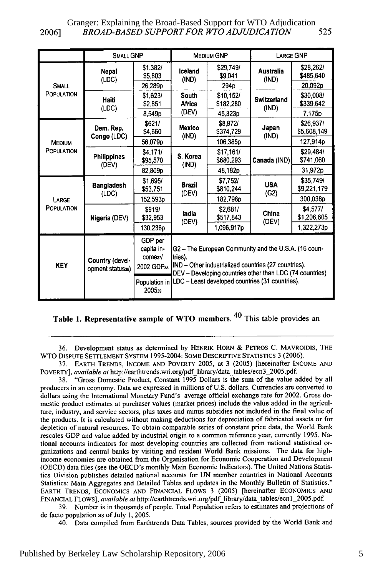2006] *BROAD-BASED SUPPORT FOR* WTO *ADJUDICATION* 525 Granger: Explaining the Broad-Based Support for WTO Adjudication

|                             | SMALL GNP                           |                                                             | <b>MEDIUM GNP</b>                                                                                                                                                                                                                                      |                        | <b>LARGE GNP</b>            |                          |
|-----------------------------|-------------------------------------|-------------------------------------------------------------|--------------------------------------------------------------------------------------------------------------------------------------------------------------------------------------------------------------------------------------------------------|------------------------|-----------------------------|--------------------------|
| <b>SMALL</b><br>POPULATION  | Nepal<br>(LDC)                      | \$1,382/<br>\$5.803                                         | Iceland<br>(IND)                                                                                                                                                                                                                                       | \$29,749/<br>\$9.041   | Australia<br>(IND)          | \$28,262/<br>\$485.640   |
|                             |                                     | 26,289p                                                     |                                                                                                                                                                                                                                                        | 294 <sub>D</sub>       |                             | 20.092 <sub>p</sub>      |
|                             | Haiti<br>(LDC)                      | \$1.623/<br>\$2,851                                         | <b>South</b><br>Africa<br>(DEV)                                                                                                                                                                                                                        | \$10,152/<br>\$182.280 | <b>Switzerland</b><br>(IND) | \$30,008/<br>\$339,642   |
|                             |                                     | 8.549 <sub>p</sub>                                          |                                                                                                                                                                                                                                                        | 45.323 <sub>D</sub>    |                             | 7.175 <sub>p</sub>       |
| <b>MEDIUM</b><br>POPULATION | Dem. Rep.<br>Congo (LDC)            | \$621/<br>\$4,660                                           | Mexico<br>(IND)                                                                                                                                                                                                                                        | \$8,972/<br>\$374,729  | Japan<br>(IND)              | \$26,937/<br>\$5,608,149 |
|                             |                                     | 56.079p                                                     |                                                                                                                                                                                                                                                        | 106.385p               |                             | 127.914p                 |
|                             | <b>Philippines</b><br>(DEV)         | \$4.171/<br>\$95,570                                        | S. Korea<br>(IND)                                                                                                                                                                                                                                      | \$17,161/<br>\$680,293 | Canada (IND)                | \$29,484/<br>\$741,060   |
|                             |                                     | 82.809p                                                     |                                                                                                                                                                                                                                                        | 48,182p                |                             | 31.972p                  |
| LARGE<br>POPULATION         | <b>Bangladesh</b><br>(LDC)          | \$1,695/<br>\$53,751                                        | <b>Brazil</b><br>(DEV)                                                                                                                                                                                                                                 | \$7,752/<br>\$810,244  | <b>USA</b><br>(G2)          | \$35.749/<br>\$9,221,179 |
|                             |                                     | 152,593p                                                    |                                                                                                                                                                                                                                                        | 182,798p               |                             | 300.038p                 |
|                             | Nigeria (DEV)                       | \$919/<br>\$32.953                                          | India<br>(DEV)                                                                                                                                                                                                                                         | \$2,681/<br>\$517,843  | China<br>(DEV)              | \$4.577/<br>\$1,206,605  |
|                             |                                     | 130,236p                                                    |                                                                                                                                                                                                                                                        | 1,096,917p             |                             | 1,322,273p               |
| <b>KEY</b>                  | Country (devel-<br>opment status36) | GDP per<br>capita in-<br>come <sub>37</sub> /<br>2002 GDP38 | G2 - The European Community and the U.S.A. (16 coun-<br>tries).<br>IND - Other industrialized countries (27 countries).<br>DEV - Developing countries other than LDC (74 countries)<br>Population in   LDC - Least developed countries (31 countries). |                        |                             |                          |
|                             |                                     | 200539                                                      |                                                                                                                                                                                                                                                        |                        |                             |                          |

Table **1. Representative sample of WTO members. 40** This **table** provides **an**

**36.** Development status as determined **by** HENRIK HORN **&** PETROS **C.** MAVROIDIS, THE WTO **DISPUTE** SETrLEMENT SYSTEM 1995-2004: **SOME** DESCRIPTIVE STATISTICS **3 (2006).**

**38.** "Gross Domestic Product, Constant **1995** Dollars is the sum of the value added **by** all producers in an economy. Data are expressed in millions of U.S. dollars. Currencies are converted to dollars using the International Monetary Fund's average official exchange rate for 2002. Gross domestic product estimates at purchaser values (market prices) include the value added in the agriculture, industry, and service sectors, plus taxes and minus subsidies not included in the final value of the products. It is calculated without making deductions for depreciation of fabricated assets or for depletion of natural resources. To obtain comparable series of constant price data, the World Bank rescales **GDP** and value added **by** industrial origin to a common reference year, currently **1995.** National accounts indicators for most developing countries are collected from national statistical organizations and central banks **by** visiting and resident World Bank missions. The data for highincome economies are obtained from the Organisation for Economic Cooperation and Development **(OECD)** data files (see the OECD's monthly Main Economic Indicators). The United Nations Statistics Division publishes detailed national accounts for **UN** member countries in National Accounts Statistics: Main Aggregates and Detailed Tables and updates in the Monthly Bulletin of Statistics." EARTH TRENDS, ECONOMICS AND FINANCIAL FLOWS **3** (2005) [hereinafter ECONOMICS AND FINANCIAL FLOWS], available *at* http://earthtrends.wri.org/pdf library/data\_tables/ecn l\_2005.pdf.

39. Number is in thousands of people. Total Population refers to estimates and projections of de facto population as of July **1,** 2005.

40. Data compiled from Earthtrends Data Tables, sources provided by the World Bank and

**<sup>37.</sup>** EARTH TRENDS, **INCOME AND** POVERTY **2005,** at **3 (2005)** [hereinafter **INCOME AND** POVERTY], available at http://earthtrends.wri.org/pdf\_library/data\_tables/ecn3\_2005.pdf.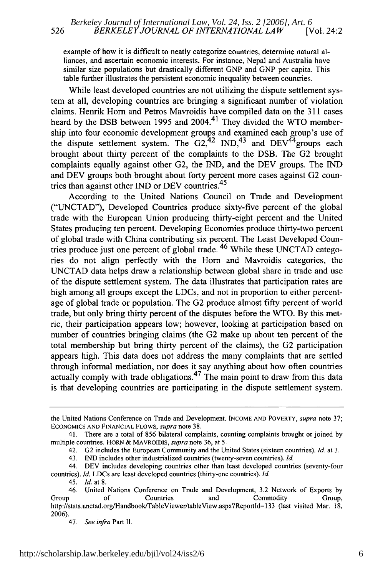example of how it is difficult to neatly categorize countries, determine natural alliances, and ascertain economic interests. For instance, Nepal and Australia have similar size populations but drastically different GNP and GNP per capita. This table further illustrates the persistent economic inequality between countries.

While least developed countries are not utilizing the dispute settlement system at all, developing countries are bringing a significant number of violation claims. Henrik Horn and Petros Mavroidis have compiled data on the 311 cases heard by the DSB between 1995 and 2004.<sup>41</sup> They divided the WTO membership into four economic development groups and examined each group's use of the dispute settlement system. The  $G2<sup>42</sup>$  IND,<sup>43</sup> and DEV<sup>44</sup>groups each brought about thirty percent of the complaints to the DSB. The G2 brought complaints equally against other G2, the IND, and the DEV groups. The 1ND and DEV groups both brought about forty percent more cases against G2 countries than against other **IND** or DEV countries.<sup>45</sup>

According to the United Nations Council on Trade and Development ("UNCTAD"), Developed Countries produce sixty-five percent of the global trade with the European Union producing thirty-eight percent and the United States producing ten percent. Developing Economies produce thirty-two percent of global trade with China contributing six percent. The Least Developed Countries produce just one percent of global trade.<sup>46</sup> While these UNCTAD categories do not align perfectly with the Hom and Mavroidis categories, the UNCTAD data helps draw a relationship between global share in trade and use of the dispute settlement system. The data illustrates that participation rates are high among all groups except the LDCs, and not in proportion to either percentage of global trade or population. The G2 produce almost fifty percent of world trade, but only bring thirty percent of the disputes before the WTO. By this metric, their participation appears low; however, looking at participation based on number of countries bringing claims (the G2 make up about ten percent of the total membership but bring thirty percent of the claims), the G2 participation appears high. This data does not address the many complaints that are settled through informal mediation, nor does it say anything about how often countries actually comply with trade obligations.<sup>47</sup> The main point to draw from this data is that developing countries are participating in the dispute settlement system.

the United Nations Conference on Trade and Development. INCOME AND POVERTY, *supra* note 37; ECONOMICS AND FINANCIAL FLOWS, *supra* note 38.

<sup>41.</sup> There are a total of 856 bilateral complaints, counting complaints brought or joined by multiple countries. HORN & MAVROIDIS, *supra* note 36, at 5.

<sup>42.</sup> G2 includes the European Community and the United States (sixteen countries). *Id.* at 3.

<sup>43.</sup> **IND** includes other industrialized countries (twenty-seven countries). *Id.*

<sup>44.</sup> DEV includes developing countries other than least developed countries (seventy-four countries). *Id.* LDCs are least developed countries (thirty-one countries). *Id.*

<sup>45.</sup> *Id.* at 8.

<sup>46.</sup> United Nations Conference on Trade and Development, 3.2 Network of Exports by Group of Countries and Commodity Group, http://stats.unctad.org/Handbook/TableViewer/tableView.aspx?Reportd=133 (last visited Mar. 18, 2006).

<sup>47.</sup> *See infra* Part II.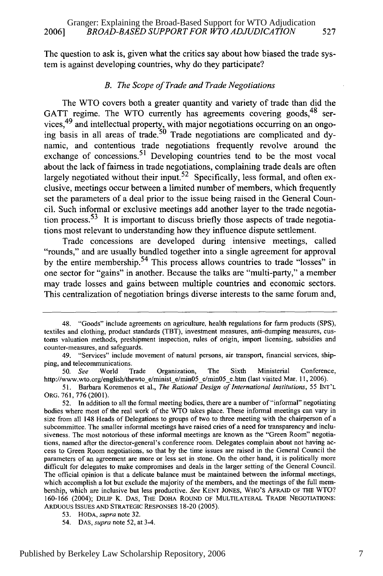The question to ask is, given what the critics say about how biased the trade system is against developing countries, why do they participate?

#### *B. The Scope of Trade and Trade Negotiations*

The WTO covers both a greater quantity and variety of trade than did the GATT regime. The WTO currently has agreements covering goods, <sup>48</sup> services,<sup>49</sup> and intellectual property, with major negotiations occurring on an ongoing basis in all areas of trade.<sup>50</sup> Trade negotiations are complicated and dynamic, and contentious trade negotiations frequently revolve around the exchange of concessions.<sup>51</sup> Developing countries tend to be the most vocal about the lack of fairness in trade negotiations, complaining trade deals are often largely negotiated without their input.<sup>52</sup> Specifically, less formal, and often exclusive, meetings occur between a limited number of members, which frequently set the parameters of a deal prior to the issue being raised in the General Council. Such informal or exclusive meetings add another layer to the trade negotiation process. 53 It is important to discuss briefly those aspects of trade negotiations most relevant to understanding how they influence dispute settlement.

Trade concessions are developed during intensive meetings, called "rounds," and are usually bundled together into a single agreement for approval by the entire membership.<sup>54</sup> This process allows countries to trade "losses" in one sector for "gains" in another. Because the talks are "multi-party," a member may trade losses and gains between multiple countries and economic sectors. This centralization of negotiation brings diverse interests to the same forum and,

<sup>48. &</sup>quot;Goods" include agreements on agriculture, health regulations for farm products (SPS), textiles and clothing, product standards (TBT), investment measures, anti-dumping measures, customs valuation methods, preshipment inspection, rules of origin, import licensing, subsidies and counter-measures, and safeguards.

<sup>49. &</sup>quot;Services" include movement of natural persons, air transport, financial services, shipping, and telecommunications.

*<sup>50.</sup> See* World Trade Organization, The Sixth Ministerial Conference, http://www.wto.org/english/thewto\_e/minist\_e/min05\_e/min05\_e.htm (last visited Mar. 11, 2006).

<sup>51.</sup> Barbara Koremenos et al., *The Rational Design of International Institutions,* 55 INT'L ORG. 761, 776 (2001).

<sup>52.</sup> In addition to all the formal meeting bodies, there are a number of "informal" negotiating bodies where most of the real work of the WTO takes place. These informal meetings can vary in size from all 148 Heads of Delegations to groups of two to three meeting with the chairperson of a subcommittee. The smaller informal meetings have raised cries of a need for transparency and inclusiveness. The most notorious of these informal meetings are known as the "Green Room" negotiations, named after the director-general's conference room. Delegates complain about not having access to Green Room negotiations, so that by the time issues are raised in the General Council the parameters of an agreement are more or less set in stone. On the other hand, it is politically more difficult for delegates to make compromises and deals in the larger setting of the General Council. The official opinion is that a delicate balance must be maintained between the informal meetings, which accomplish a lot but exclude the majority of the members, and the meetings of the full membership, which are inclusive but less productive. *See* KENT JONES, WHO'S AFRAID OF THE WTO? 160-166 (2004); DILIP K. DAS, THE DOHA ROUND OF MULTILATERAL TRADE NEGOTIATIONS: ARDUOUS ISSUES AND STRATEGIC RESPONSES 18-20 (2005).

<sup>53.</sup> HODA, *supra* note 32.

<sup>54.</sup> DAS, *supra* note 52, at 3-4.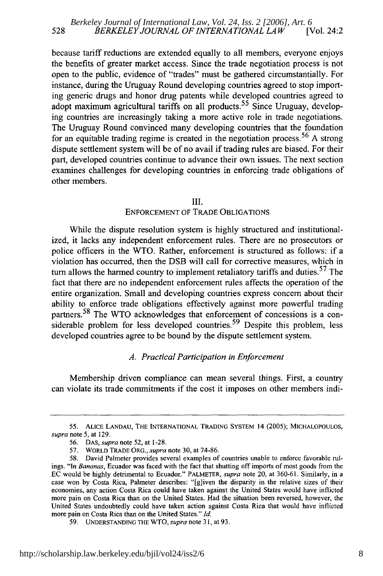because tariff reductions are extended equally to all members, everyone enjoys the benefits of greater market access. Since the trade negotiation process is not open to the public, evidence of "trades" must be gathered circumstantially. For instance, during the Uruguay Round developing countries agreed to stop importing generic drugs and honor drug patents while developed countries agreed to adopt maximum agricultural tariffs on all products.<sup>55</sup> Since Uruguay, developing countries are increasingly taking a more active role in trade negotiations. The Uruguay Round convinced many developing countries that the foundation for an equitable trading regime is created in the negotiation process.<sup>56</sup> A strong dispute settlement system will be of no avail if trading rules are biased. For their part, developed countries continue to advance their own issues. The next section examines challenges for developing countries in enforcing trade obligations of other members.

#### III.

#### ENFORCEMENT OF TRADE OBLIGATIONS

While the dispute resolution system is highly structured and institutionalized, it lacks any independent enforcement rules. There are no prosecutors or police officers in the WTO. Rather, enforcement is structured as follows: if a violation has occurred, then the DSB will call for corrective measures, which in turn allows the harmed country to implement retaliatory tariffs and duties.<sup>57</sup> The fact that there are no independent enforcement rules affects the operation of the entire organization. Small and developing countries express concern about their ability to enforce trade obligations effectively against more powerful trading partners.<sup>58</sup> The WTO acknowledges that enforcement of concessions is a considerable problem for less developed countries.<sup>59</sup> Despite this problem, less developed countries agree to be bound by the dispute settlement system.

#### *A. Practical Participation in Enforcement*

Membership driven compliance can mean several things. First, a country can violate its trade commitments if the cost it imposes on other members indi-

<sup>55.</sup> ALICE LANDAU, THE INTERNATIONAL TRADING SYSTEM 14 (2005); MICHALOPOULOS, *supra* note 5, at 129.

<sup>56.</sup> DAS, *supra* note 52, at 1-28.

<sup>57.</sup> WORLD TRADE ORG., *supra* note 30, at 74-86.

<sup>58.</sup> David Palmeter provides several examples of countries unable to enforce favorable rulings. "In *Bananas,* Ecuador was faced with the fact that shutting off imports of most goods from the EC would be highly detrimental to Ecuador." PALMETER, *supra* note 20, at 360-61. Similarly, in a case won by Costa Rica, Palmeter describes: "[gliven the disparity in the relative sizes of their economies, any action Costa Rica could have taken against the United States would have inflicted more pain on Costa Rica than on the United States. Had the situation been reversed, however, the United States undoubtedly could have taken action against Costa Rica that would have inflicted more pain on Costa Rica than on the United States." *Id.*

<sup>59.</sup> UNDERSTANDING THE WTO, *supra* note 31, at 93.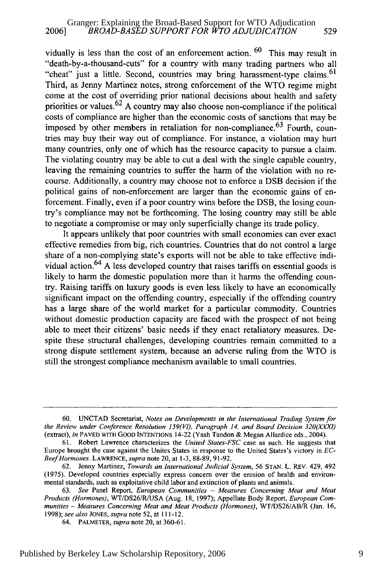vidually is less than the cost of an enforcement action.  $60$  This may result in "death-by-a-thousand-cuts" for a country with many trading partners who all "cheat" just a little. Second, countries may bring harassment-type claims.  $61$ Third, as Jenny Martinez notes, strong enforcement of the WTO regime might come at the cost of overriding prior national decisions about health and safety priorities or values.  $62$  A country may also choose non-compliance if the political costs of compliance are higher than the economic costs of sanctions that may be imposed by other members in retaliation for non-compliance.  $63$  Fourth, countries may buy their way out of compliance. For instance, a violation may hurt many countries, only one of which has the resource capacity to pursue a claim. The violating country may be able to cut a deal with the single capable country, leaving the remaining countries to suffer the harm of the violation with no recourse. Additionally, a country may choose not to enforce a DSB decision if the political gains of non-enforcement are larger than the economic gains of enforcement. Finally, even if a poor country wins before the DSB, the losing country's compliance may not be forthcoming. The losing country may still be able to negotiate a compromise or may only superficially change its trade policy.

It appears unlikely that poor countries with small economies can ever exact effective remedies from big, rich countries. Countries that do not control a large share of a non-complying state's exports will not be able to take effective individual action.64 A less developed country that raises tariffs on essential goods is likely to harm the domestic population more than it harms the offending country. Raising tariffs on luxury goods is even less likely to have an economically significant impact on the offending country, especially if the offending country has a large share of the world market for a particular commodity. Countries without domestic production capacity are faced with the prospect of not being able to meet their citizens' basic needs if they enact retaliatory measures. Despite these structural challenges, developing countries remain committed to a strong dispute settlement system, because an adverse ruling from the WTO is still the strongest compliance mechanism available to small countries.

<sup>60.</sup> UNCTAD Secretariat, Notes *on Developments in the International Trading System for the Review under Conference Resolution 159(VI), Paragraph 14, and Board Decision 320(XXXI)* (extract), *in* PAVED WITH **GOOD** INTENTIONS 14-22 (Yash Tandon & Megan Allardice eds., 2004).

<sup>61.</sup> Robert Lawrence characterizes the *United States-FSC* case as such. He suggests that Europe brought the case against the Unites States in response to the United States's victory in *EC-Beef Hormones.* LAWRENCE, *supra* note 20, at 1-3, 88-89, 91-92.

<sup>62.</sup> Jenny Martinez, *Towards an International Judicial System,* 56 STAN. L. REV. 429, 492 (1975). Developed countries especially express concern over the erosion of health and environmental standards, such as exploitative child labor and extinction of plants and animals.

<sup>63.</sup> *See* Panel Report, *European Communities - Measures Concerning Meat and Meat Products (Hormones),* WT/DS26/R/USA (Aug. 18, 1997); Appellate Body Report, *European Communities* **-** *Measures Concerning Meat and Meat Products (Hormones),* WT/DS26/AB/R (Jan. 16, 1998); *see also* JONES, *supra* note 52, at 111-12.

<sup>64.</sup> PALMETER, *supra* note 20, at 360-61.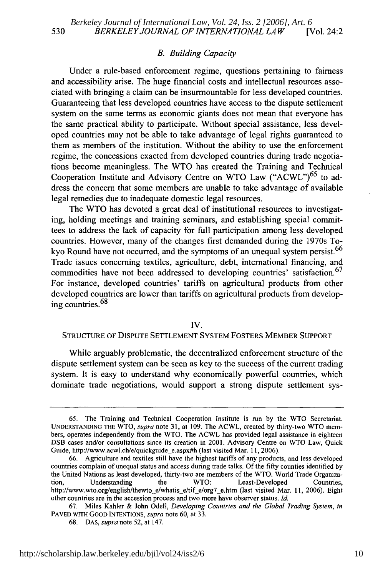#### *B. Building Capacity*

Under a rule-based enforcement regime, questions pertaining to fairness and accessibility arise. The huge financial costs and intellectual resources associated with bringing a claim can be insurmountable for less developed countries. Guaranteeing that less developed countries have access to the dispute settlement system on the same terms as economic giants does not mean that everyone has the same practical ability to participate. Without special assistance, less developed countries may not be able to take advantage of legal rights guaranteed to them as members of the institution. Without the ability to use the enforcement regime, the concessions exacted from developed countries during trade negotiations become meaningless. The WTO has created the Training and Technical Cooperation Institute and Advisory Centre on WTO Law ("ACWL")<sup>65</sup> to address the concern that some members are unable to take advantage of available legal remedies due to inadequate domestic legal resources.

The WTO has devoted a great deal of institutional resources to investigating, holding meetings and training seminars, and establishing special committees to address the lack of capacity for full participation among less developed countries. However, many of the changes first demanded during the 1970s Tokyo Round have not occurred, and the symptoms of an unequal system persist.<sup>66</sup> Trade issues concerning textiles, agriculture, debt, international financing, and commodities have not been addressed to developing countries' satisfaction.<sup>67</sup> For instance, developed countries' tariffs on agricultural products from other developed countries are lower than tariffs on agricultural products from developing countries.<sup>68</sup>

#### IV.

#### STRUCTURE OF DISPUTE SETTLEMENT SYSTEM FOSTERS MEMBER SUPPORT

While arguably problematic, the decentralized enforcement structure of the dispute settlement system can be seen as key to the success of the current trading system. It is easy to understand why economically powerful countries, which dominate trade negotiations, would support a strong dispute settlement sys-

<sup>65.</sup> The Training and Technical Cooperation Institute is run by the WTO Secretariat. UNDERSTANDING THE WTO, *supra* note 31, at 109. The ACWL, created by thirty-two WTO members, operates independently from the WTO. The ACWL has provided legal assistance in eighteen DSB cases and/or consultations since its creation in 2001. Advisory Centre on WTO Law, Quick Guide, http://www.acwl.ch/e/quickguide-e.aspx#h (last visited Mar. 11, 2006).

<sup>66.</sup> Agriculture and textiles still have the highest tariffs of any products, and less developed countries complain of unequal status and access during trade talks. Of the fifty counties identified by the United Nations as least developed, thirty-two are members of the WTO. World Trade Organization, Understanding the WTO: Least-Developed Countries, http://www.wto.org/english/thewto\_e/whatis\_e/tif\_e/org7\_e.htm (last visited Mar. 11, 2006). Eight other countries are in the accession process and two more have observer status. **Id.**

<sup>67.</sup> Miles Kahler & John Odell, Developing Countries *and the Global Trading System, in* PAVED WITH GOOD INTENTIONS, *supra* note 60, at 33.

<sup>68.</sup> DAS, *supra* note 52, at 147.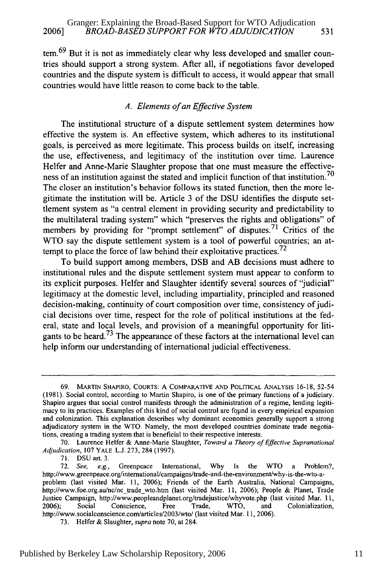$tem.$ <sup>69</sup> But it is not as immediately clear why less developed and smaller countries should support a strong system. After all, if negotiations favor developed countries and the dispute system is difficult to access, it would appear that small countries would have little reason to come back to the table.

#### *A. Elements of an Effective System*

The institutional structure of a dispute settlement system determines how effective the system is. An effective system, which adheres to its institutional goals, is perceived as more legitimate. This process builds on itself, increasing the use, effectiveness, and legitimacy of the institution over time. Laurence Helfer and Anne-Marie Slaughter propose that one must measure the effectiveness of an institution against the stated and implicit function of that institution.<sup>70</sup> The closer an institution's behavior follows its stated function, then the more legitimate the institution will be. Article 3 of the DSU identifies the dispute settlement system as "a central element in providing security and predictability to the multilateral trading system" which "preserves the rights and obligations" of members by providing for "prompt settlement" of disputes.<sup>71</sup> Critics of the WTO say the dispute settlement system is a tool of powerful countries; an attempt to place the force of law behind their exploitative practices.<sup>72</sup>

To build support among members, DSB and AB decisions must adhere to institutional rules and the dispute settlement system must appear to conform to its explicit purposes. Helfer and Slaughter identify several sources of "judicial" legitimacy at the domestic level, including impartiality, principled and reasoned decision-making, continuity of court composition over time, consistency of judicial decisions over time, respect for the role of political institutions at the federal, state and local levels, and provision of a meaningful opportunity for litigants to be heard.<sup>73</sup> The appearance of these factors at the international level can help inform our understanding of international judicial effectiveness.

71. DSUart. 3.

<sup>69.</sup> MARTIN SHAPIRO, COURTS: A COMPARATIVE **AND** POLITICAL **ANALYSIS** 16-18, 52-54 (1981). Social control, according to Martin Shapiro, is one of the primary functions of a judiciary. Shapiro argues that social control manifests through the administration of a regime, lending legitimacy to its practices. Examples of this kind of social control are found in every empirical expansion and colonization. This explanation describes why dominant economies generally support a strong adjudicatory system in the WTO. Namely, the most developed countries dominate trade negotiations, creating a trading system that is beneficial to their respective interests.

<sup>70.</sup> Laurence Heifer & Anne-Marie Slaughter, *Toward a Theory of Effective Supranational Adjudication,* 107 YALE L.J. 273, 284 (1997).

<sup>72.</sup> *See, e.g.,* Greenpeace International, Why Is the WTO a Problem?, http://www.greenpeace.org/intemational/campaigns/trade-and-the-environment/why-is-the-wto-aproblem (last visited Mar. 11, 2006); Friends of the Earth Australia, National Campaigns, http://www.foe.org.au/nc/nc-trade-wto.htm (last visited Mar. 11, 2006); People & Planet, Trade Justice Campaign, http://www.peopleandplanet.org/tradejustice/whyvote.php (last visited Mar. 11, 2006); Social Conscience, Free Trade, WTO, and Colonialization, http://www.socialconscience.com/articles/2003/wto/ (last visited Mar. 11, 2006).

<sup>73.</sup> Helfer & Slaughter, *supra* note 70, at 284.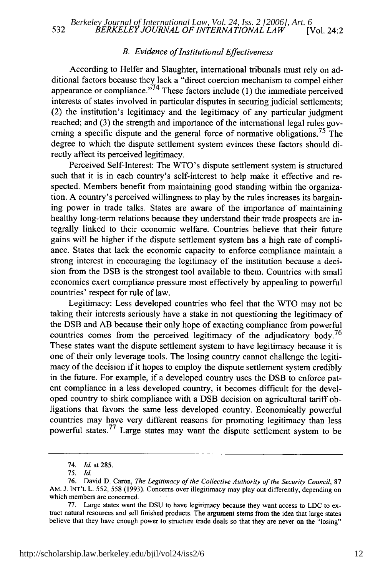#### *B. Evidence of Institutional Effectiveness*

According to Heifer and Slaughter, international tribunals must rely on additional factors because they lack a "direct coercion mechanism to compel either appearance or compliance." $74$  These factors include (1) the immediate perceived interests of states involved in particular disputes in securing judicial settlements; (2) the institution's legitimacy and the legitimacy of any particular judgment reached; and (3) the strength and importance of the international legal rules governing a specific dispute and the general force of normative obligations.<sup>75</sup> The degree to which the dispute settlement system evinces these factors should directly affect its perceived legitimacy.

Perceived Self-Interest: The WTO's dispute settlement system is structured such that it is in each country's self-interest to help make it effective and respected. Members benefit from maintaining good standing within the organization. A country's perceived willingness to play by the rules increases its bargaining power in trade talks. States are aware of the importance of maintaining healthy long-term relations because they understand their trade prospects are integrally linked to their economic welfare. Countries believe that their future gains will be higher if the dispute settlement system has a high rate of compliance. States that lack the economic capacity to enforce compliance maintain a strong interest in encouraging the legitimacy of the institution because a decision from the DSB is the strongest tool available to them. Countries with small economies exert compliance pressure most effectively by appealing to powerful countries' respect for rule of law.

Legitimacy: Less developed countries who feel that the WTO may not be taking their interests seriously have a stake in not questioning the legitimacy of the DSB and AB because their only hope of exacting compliance from powerful countries comes from the perceived legitimacy of the adjudicatory body.<sup>76</sup> These states want the dispute settlement system to have legitimacy because it is one of their only leverage tools. The losing country cannot challenge the legitimacy of the decision if it hopes to employ the dispute settlement system credibly in the future. For example, if a developed country uses the DSB to enforce patent compliance in a less developed country, it becomes difficult for the developed country to shirk compliance with a DSB decision on agricultural tariff obligations that favors the same less developed country. Economically powerful countries may have very different reasons for promoting legitimacy than less powerful states.<sup>77</sup> Large states may want the dispute settlement system to be

<sup>74.</sup> Id. at 285.

<sup>75.</sup> Id.

<sup>76.</sup> David D. Caron, *The Legitimacy of the Collective Authority of the Security Council,* <sup>87</sup> AM. J. INT'L L. 552, 558 (1993). Concerns over illegitimacy may play out differently, depending on which members are concerned.

<sup>77.</sup> Large states want the DSU to have legitimacy because they want access to LDC to extract natural resources and sell finished products. The argument stems from the idea that large states believe that they have enough power to structure trade deals so that they are never on the "losing"